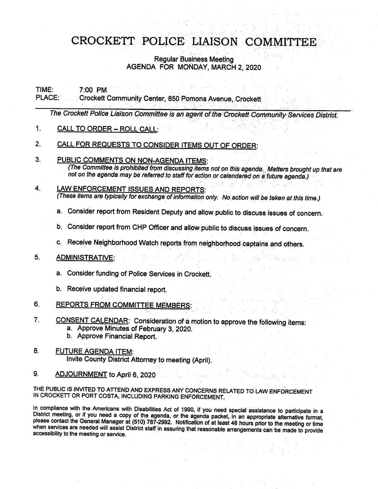### CROCKETT POLICE LIAISON COMMITTEE

#### Regular Business Meeting AGENDA FOR MONDAY. MARCH 2, 2020

# TIME: 7:00 PM<br>PLACE: Crockett

#### Crockett Community Center, 850 Pomona Avenue, Crockett

The Crockett Police Liaison Committee is an agent of the Crockett Community Services District.

#### 1. CALL TO ORDER - ROLL CALL:

#### 2. CALL FOR REQUESTS TO CONSIDER ITEMS OUT OF ORDER:

#### 3. PUBLIC COMMENTS ON NON-AGENDA ITEMS:

(The Committee is prohibited frorn discussing items not on this agenda. Matters brought up that are not on the agenda may be referred to staff for action or calendared on a future agenda.)

#### 4. LAW ENFORCEMENT ISSUES AND REPORTS: (These items are typically for exchange of information only. No action wiii be taken at this time.)

- a. Consider report from Resident Deputy and allow public to discuss issues of concern.
- b. Consider report from CMP Officer and allow public to discuss issues of concern.
- c. Receive Neighborhood Watch reports from neighborhood captains and others.

#### 5. ADMINISTRATIVE.

- a. Consider funding of Police Services in Crockett.
- b. Receive updated financiai report.
- 6. REPORTS FROM COMMITTEE MEMBERS:
- 7. CONSENT CALENDAR: Consideration of a motion to approve the following items:
	- a. Approve Minutes of February 3, 2020.
	- b. Approve Financial Report.

#### 8. FUTURE AGENDA ITEM: Invite County District Attomey to meeting (April).

9. ADJOURNMENT to April 6, 2020

#### THE PUBLIC IS INVITED TO ATTEND AND EXPRESS ANY CONCERNS RELATED TO LAW ENFORCEMENT IN CROCKETT OR PORT COSTA. INCLUDING PARKING ENFORCEMENT.

In compliance with the Americans with Disabilities Act of 1990, if you need special assistance to participate in a District meeting, or if you need a copy of the agenda, or the agenda packet, in an appropriate alternative format, please contact the General Manager at (510) 787-2992. Notification of at least 48 hours prior to the meeting or time when semces are needed will assist District staff in assuring that reasonable arrangements can be made to provide accessibility to the meeting or service.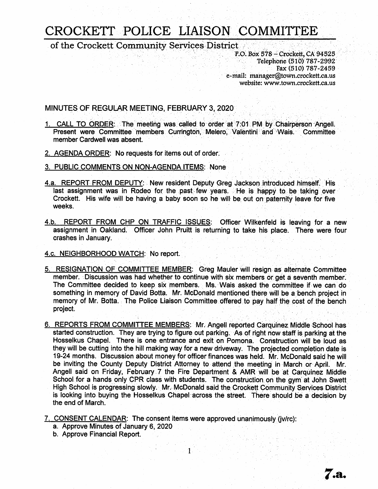## CROCKETT POUCE LIAISON COMMITTEE

of the Crockett Community Services District<br>P.O. Box 578 – Crockett, CA 94525

Telephone (510) 787-2992 Fax (510) 787-2459 e-mail: manager@town.crockett.ca.us website: www.town.crockett.ca.us

7.a.

MINUTES QF REGULAR MEETING. FEBRUARY 3, 2020

- 1. CALL TO ORDER: The meeting was called to order at 7:01 PM by Chairperson Angell. Present were Committee members Currington, Melero, Valentini and Wais. Committee member Cardwell was absent.
- 2. AGENDA ORDER: No requests for items out of order.
- 3. PUBLIC COMMENTS ON NON-AGENDA ITEMS: None
- 4.a. REPORT FROM DEPUTY: New resident Deputy Greg Jackson introduced himself. His last assignment was in Rodeo for the past few years. He is happy to be taking over Crockett. His wife will be having a baby soon so he will be out on paternity leave for five weeks.
- 4.b. REPORT FROM CHP ON TRAFFIC ISSUES: Officer Wilkenfeld is leaving for a new assignment in Oakland. Officer John Pruitt is returning to take his place. There were four crashes in January.
- 4.c. NEIGHBORHOOD WATCH: No report.
- 5. RESIGNATION OF COMMITTEE MEMBER: (3reg Mauler will resign as alternate Committee member. Discussion was had whether to continue with six members or get a seventh member. The Committee decided to keep six members. Ms. Wais asked the committee if we can do something in memory of David Botta. Mr. McDonald mentioned there will be a bench project in memory of Mr. Botta. The Police Liaison Committee offered to pay half the cost of the bench project.
- 6. REPORTS FROM COMMITTEE MEMBERS: Mr. Angell reported Carquinez Middle School has started construction. They are trying to figure out parking. As of right now staff is parking at the Hosselkus Chapel. There is one entrance and exit on Pomona. Construction will be loud as they will be cutting into the hill making way for a new driveway. The projected completion date is 19-24 months. Discussion about money for officer finances was held. Mr. McDonald said he will be inviting the County Deputy District Attorney to attend the meeting in March or April. Mr. Angell said on Friday, February 7 the Fire Department & AMR will be at Carquinez Middle School for a hands only CPR class with students. The construction on the gym at John Swett High School is progressing slowly, Mr. McDonald said the Crockett Community Services District is looking into buying the Hosselkus Chapel across the street. There should be a decision by the end of March.

7. CONSENT CALENDAR: The consent items were approved unanimously (jv/rc):

1

- a. Approve Minutes of January 6, 2020
- b. Approve Financial Report.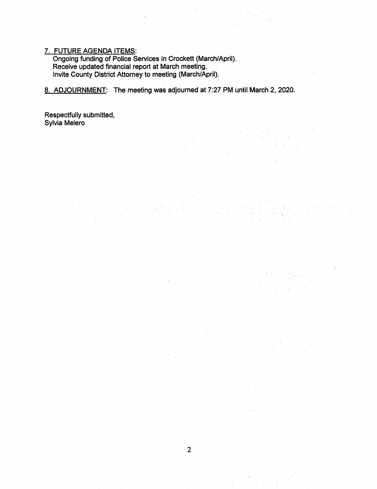#### 7. FUTURE AGENDA ITEMS:

Ongoing funding of Police Services in Crockett (March/April). Receive updated financial report at March meeting. Invite County District Attorney to meeting (March/April).

8. ADJOURNMENT: The meeting was adjourned at 7:27 PM until March 2, 2020.

Respectfully submitted, Sylvia Melero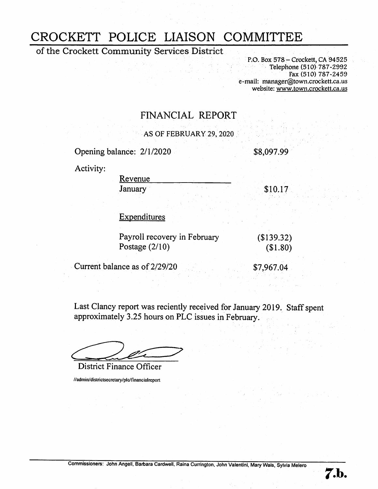### CROCKETT POLICE LIAISON COMMITTEE

of the Crockett Community Services District

P.O. Box 578 – Crockett, CA 94525 Telephone (510) 787-2992 Fax (510) 787-2459 e-mail: manager@town.crockett.ca.us website: www.town.crockett.ca.us

### FINANCIAL REPORT

AS OF FEBRUARY 29, 2020

Opening balance: 2/1/2020 \$8,097.99

Activity:

Revenue

January \$10.17

Expenditures

| Payroll recovery in February | (\$139.32) |
|------------------------------|------------|
| Postage $(2/10)$             | (\$1.80)   |

Current balance as of 2/29/20 \$7,967.04

**7.b.** 

Last Clancy report was reciently received for January 2019. Staff spent approximately 3.25 hours on PLC issues in February.

District Finance Officer

//admin/districtsecretary/plc/ftnancialreport